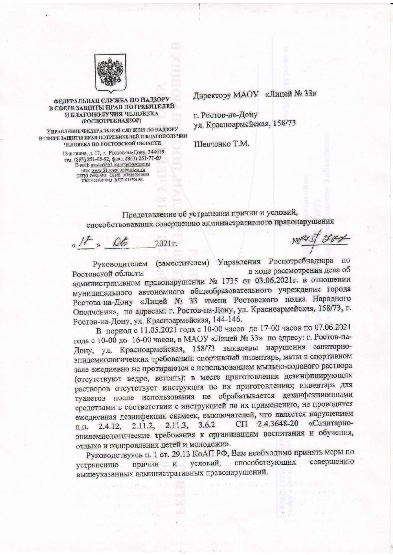

## ФЕДЕРАЛЬНАЯ СЛУЖБА ПО НАДЗОРУ В СФЕРЕ ЗАЩИТЫ ПРАВ ПОТРЕБИТЕЛЕЙ И БЛАГОПОЛУЧИЯ ЧЕЛОВЕКА (РОСПОТРЕБНАДЗОР)

УПРАВЛЕНИЕ ФЕДЕРАЛЬНОЙ СЛУЖБЫ ПО ПАДЗОРУ В СФЕРЕ ЗАЩИТЫ ПРАВ ПОТРЕБИТЕЛЕЙ И БЛАГОПОЛУЧИЯ ЧЕЛОВЕКА ПО РОСТОВСКОЙ ОБЛАСТИ

18-я линия, д. 17, г. Ростов-на-Дону, 344019 тел. (863) 251-05-92, факс. (863) 251-77-69<br>E-mail: master@61.cospotrebnadzor.ru http: www.61.rospotrebnadzor.ru<br>OkHO 76921493 OFPH 1056167010008<br>FIRH 6167089043 KHH 616701001

Директору МАОУ «Лицей № 33»

г. Ростов-на-Дону ул. Красноармейская, 158/73

Шевченко Т.М.

Представление об устранении причин и условий, способствовавших совершению административного правонарушения

 $R/H$  » 06 2021r.

Netst you

(заместителем) Управления Роспотребнадзора по Руководителем в ходе рассмотрения дела об Ростовской области административном правонарушении № 1735 от 03.06.2021г. в отношении муниципального автономного общеобразовательного учреждения города Ростова-на-Дону «Лицей № 33 имени Ростовского полка Народного Ополчения», по адресам: г. Ростов-на-Дону, ул. Красноармейская, 158/73, г. Ростов-на-Дону, ул. Красноармейская, 144-146.

В период с 11.05.2021 года с 10-00 часов до 17-00 часов по 07.06.2021 года с 10-00 до 16-00 часов, в МАОУ «Лицей № 33» по адресу: г. Ростов-на-Дону, ул. Красноармейская, 158/73 выявлены нарушения санитарноэпидемиологических требований: спортивный инвентарь, маты в спортивном зале ежедневно не протираются с использованием мыльно-содового раствора (отсутствуют ведро, ветошь); в месте приготовления дезинфицирующих растворов отсутствует инструкция по их приготовлению; инвентарь для туалетов после использования не обрабатывается дезинфекционными средствами в соответствии с инструкцией по их применению, не проводится ежедневная дезинфекция скамеек, выключателей, что является нарушением СП 2.4.3648-20 «Санитарно-2.11.2, 2.11.3, 3.6.2 2.4.12, п.п. эпидемиологические требования к организациям воспитания и обучения, отдыха и оздоровления детей и молодежи».

Руководствуясь п. 1 ст. 29.13 КоАП РФ, Вам необходимо принять меры по способствующих совершению условий,  $\,$   $\,$   $\,$ устранению причин вышеуказанных административных правонарушений.